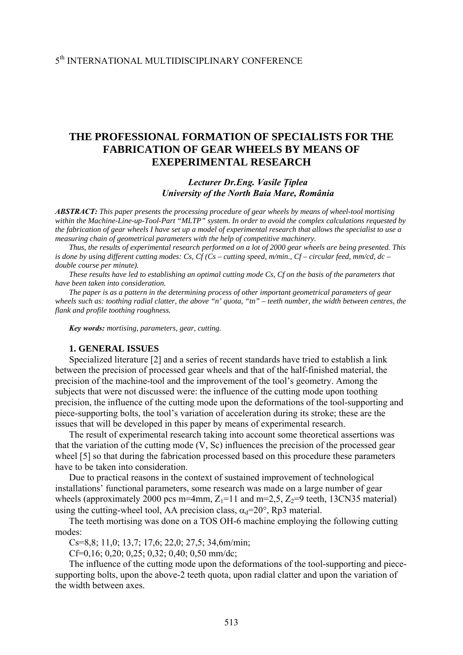# **THE PROFESSIONAL FORMATION OF SPECIALISTS FOR THE FABRICATION OF GEAR WHEELS BY MEANS OF EXEPERIMENTAL RESEARCH**

### *Lecturer Dr.Eng. Vasile Ţiplea University of the North Baia Mare, România*

*ABSTRACT: This paper presents the processing procedure of gear wheels by means of wheel-tool mortising within the Machine-Line-up-Tool-Part "MLTP" system. In order to avoid the complex calculations requested by the fabrication of gear wheels I have set up a model of experimental research that allows the specialist to use a measuring chain of geometrical parameters with the help of competitive machinery.* 

*Thus, the results of experimental research performed on a lot of 2000 gear wheels are being presented. This*  is done by using different cutting modes: Cs,  $C_f$  (Cs – cutting speed, m/min., Cf – circular feed, mm/cd, dc – *double course per minute).* 

*These results have led to establishing an optimal cutting mode Cs, Cf on the basis of the parameters that have been taken into consideration.* 

*The paper is as a pattern in the determining process of other important geometrical parameters of gear*  wheels such as: toothing radial clatter, the above "n' quota, "tn" – teeth number, the width between centres, the *flank and profile toothing roughness.* 

*Key words: mortising, parameters, gear, cutting.* 

### **1. GENERAL ISSUES**

Specialized literature [2] and a series of recent standards have tried to establish a link between the precision of processed gear wheels and that of the half-finished material, the precision of the machine-tool and the improvement of the tool's geometry. Among the subjects that were not discussed were: the influence of the cutting mode upon toothing precision, the influence of the cutting mode upon the deformations of the tool-supporting and piece-supporting bolts, the tool's variation of acceleration during its stroke; these are the issues that will be developed in this paper by means of experimental research.

The result of experimental research taking into account some theoretical assertions was that the variation of the cutting mode (V, Sc) influences the precision of the processed gear wheel [5] so that during the fabrication processed based on this procedure these parameters have to be taken into consideration.

Due to practical reasons in the context of sustained improvement of technological installations' functional parameters, some research was made on a large number of gear wheels (approximately 2000 pcs m=4mm,  $Z_1$ =11 and m=2,5,  $Z_2$ =9 teeth, 13CN35 material) using the cutting-wheel tool, AA precision class,  $\alpha_d = 20^\circ$ , Rp3 material.

The teeth mortising was done on a TOS OH-6 machine employing the following cutting modes:

Cs=8,8; 11,0; 13,7; 17,6; 22,0; 27,5; 34,6m/min;

Cf=0,16; 0,20; 0,25; 0,32; 0,40; 0,50 mm/dc;

The influence of the cutting mode upon the deformations of the tool-supporting and piecesupporting bolts, upon the above-2 teeth quota, upon radial clatter and upon the variation of the width between axes.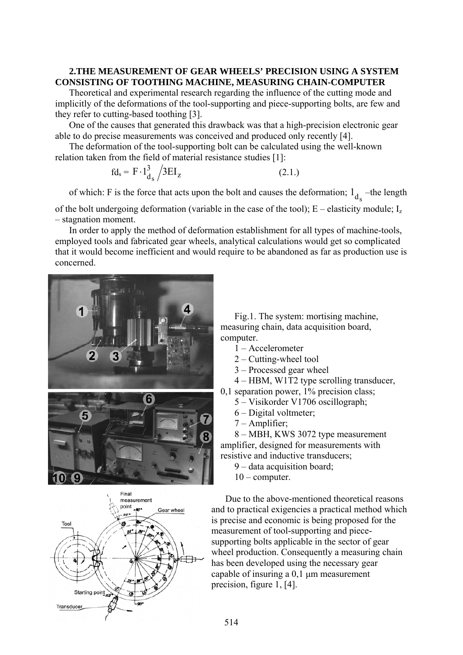### **2.THE MEASUREMENT OF GEAR WHEELS' PRECISION USING A SYSTEM CONSISTING OF TOOTHING MACHINE, MEASURING CHAIN-COMPUTER**

Theoretical and experimental research regarding the influence of the cutting mode and implicitly of the deformations of the tool-supporting and piece-supporting bolts, are few and they refer to cutting-based toothing [3].

One of the causes that generated this drawback was that a high-precision electronic gear able to do precise measurements was conceived and produced only recently [4].

The deformation of the tool-supporting bolt can be calculated using the well-known relation taken from the field of material resistance studies [1]:

$$
\mathrm{fd}_{\mathrm{s}} = \mathrm{F} \cdot \mathrm{1}_{\mathrm{d}_{\mathrm{s}}}^{3} / 3\mathrm{EI}_{\mathrm{z}} \tag{2.1.}
$$

of which: F is the force that acts upon the bolt and causes the deformation;  $1_{d_s}$  –the length

of the bolt undergoing deformation (variable in the case of the tool); E – elasticity module; Iz – stagnation moment.

In order to apply the method of deformation establishment for all types of machine-tools, employed tools and fabricated gear wheels, analytical calculations would get so complicated that it would become inefficient and would require to be abandoned as far as production use is concerned.





Fig.1. The system: mortising machine, measuring chain, data acquisition board, computer.

- 1 Accelerometer
- 2 Cutting-wheel tool
- 3 Processed gear wheel
- 4 HBM, W1T2 type scrolling transducer,
- 0,1 separation power, 1% precision class;
	- 5 Visikorder V1706 oscillograph;
	- 6 Digital voltmeter;
	- 7 Amplifier;

8 – MBH, KWS 3072 type measurement amplifier, designed for measurements with resistive and inductive transducers;

- 9 data acquisition board;
- $10$  computer.

Due to the above-mentioned theoretical reasons and to practical exigencies a practical method which is precise and economic is being proposed for the measurement of tool-supporting and piecesupporting bolts applicable in the sector of gear wheel production. Consequently a measuring chain has been developed using the necessary gear capable of insuring a 0,1 μm measurement precision, figure 1, [4].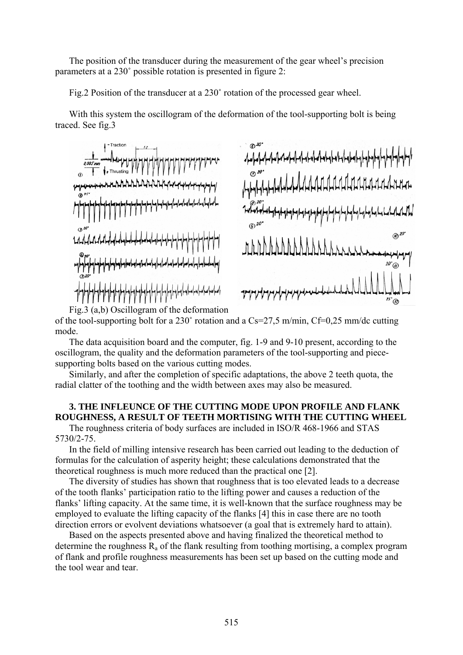The position of the transducer during the measurement of the gear wheel's precision parameters at a 230˚ possible rotation is presented in figure 2:

Fig.2 Position of the transducer at a 230˚ rotation of the processed gear wheel.

With this system the oscillogram of the deformation of the tool-supporting bolt is being traced. See fig.3



Fig.3 (a,b) Oscillogram of the deformation of the tool-supporting bolt for a 230 $^{\circ}$  rotation and a Cs=27.5 m/min, Cf=0.25 mm/dc cutting mode.

The data acquisition board and the computer, fig. 1-9 and 9-10 present, according to the oscillogram, the quality and the deformation parameters of the tool-supporting and piecesupporting bolts based on the various cutting modes.

Similarly, and after the completion of specific adaptations, the above 2 teeth quota, the radial clatter of the toothing and the width between axes may also be measured.

## **3. THE INFLEUNCE OF THE CUTTING MODE UPON PROFILE AND FLANK ROUGHNESS, A RESULT OF TEETH MORTISING WITH THE CUTTING WHEEL**

The roughness criteria of body surfaces are included in ISO/R 468-1966 and STAS 5730/2-75.

In the field of milling intensive research has been carried out leading to the deduction of formulas for the calculation of asperity height; these calculations demonstrated that the theoretical roughness is much more reduced than the practical one [2].

The diversity of studies has shown that roughness that is too elevated leads to a decrease of the tooth flanks' participation ratio to the lifting power and causes a reduction of the flanks' lifting capacity. At the same time, it is well-known that the surface roughness may be employed to evaluate the lifting capacity of the flanks [4] this in case there are no tooth direction errors or evolvent deviations whatsoever (a goal that is extremely hard to attain).

Based on the aspects presented above and having finalized the theoretical method to determine the roughness  $R_a$  of the flank resulting from toothing mortising, a complex program of flank and profile roughness measurements has been set up based on the cutting mode and the tool wear and tear.